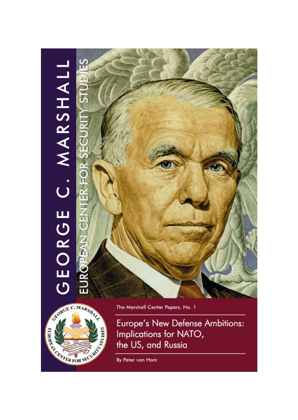# C. MARSHALL GEORGE

<u>v</u>

STUP</sub>

SEC

 $\sim$  $\overline{C}$ ū

 $\mathbb{E}$ 

ıπ

**ALA** 

GEORGE CAMARSHAL

**CALIFORNIA SECURE** 

The Marshall Center Papers, No. 1

Europe's New Defense Ambitions: Implications for NATO, the US, and Russia

By Peter van Ham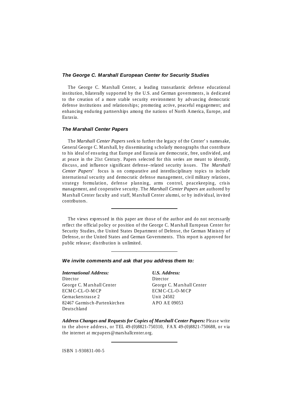### *The George C. Marshall European Center for Security Studies*

The George C. Marshall Center, a leading transatlantic defense educational institution, bilaterally supported by the U.S. and German governments, is dedicated to the creation of a more stable security environment by advancing democratic defense institutions and relationships; promoting active, peaceful engagement; and enhancing enduring partnerships among the nations of North America, Europe, and Eurasia.

### *The Marshall Center Papers*

The *Marshall Center Papers* seek to further the legacy of the Center's namesake, General George C. Marshall, by disseminating scholarly monographs that contribute to his ideal of ensuring that Europe and Eurasia are democratic, free, undivided, and at peace in the 21st Century. Papers selected for this series are meant to identify, discuss, and influence significant defense–related security issues. The *Marshall Center Papers*' focus is on comparative and interdisciplinary topics to include international security and democratic defense management, civil military relations, strategy formulation, defense planning, arms control, peacekeeping, crisis management, and cooperative security. The *Marshall Center Papers* are authored by Marshall Center faculty and staff, Marshall Center alumni, or by individual, invited contributors.

The views expressed in this paper are those of the author and do not necessarily reflect the official policy or position of the George C. Marshall European Center for Security Studies, the United States Department of Defense, the German Ministry of Defense, or the United States and German Governments. This report is approved for public release; distribution is unlimited.

### *We invite comments and ask that you address them to:*

*International Address: U.S. Address:* Director Director George C. Marshall Center George C. Marshall Center ECMC-CL-O-MCP ECMC-CL-O-MCP Gernackerstrasse 2 Unit 24502 82467 Garmisch-Partenkirchen APO AE 09053 Deutschland

*Address Changes and Requests for Copies of Marshall Center Papers:* Please write to the above address, or TEL 49-(0)8821-750310, FAX 49-(0)8821-750688, or via the internet at mcpapers@marshallcenter.org.

ISBN 1-930831-00-5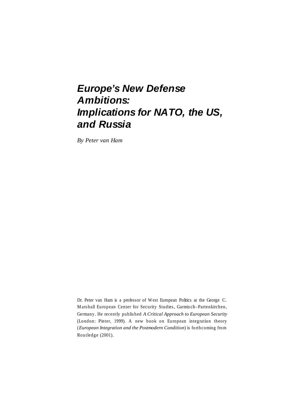# *Europe's New Defense Ambitions: Implications for NATO, the US, and Russia*

*By Peter van Ham*

Dr. Peter van Ham is a professor of West European Politics at the George C. Marshall European Center for Security Studies, Garmisch–Partenkirchen, Germany. He recently published *A Critical Approach to European Security* (London: Pinter, 1999). A new book on European integration theory (*European Integration and the Postmodern Condition*) is forthcoming from Routledge (2001).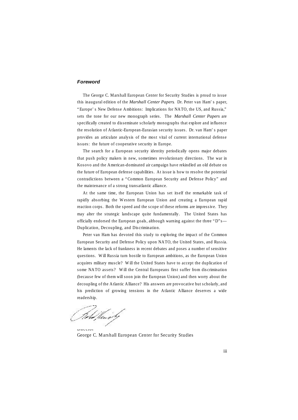### *Foreword*

The George C. Marshall European Center for Security Studies is proud to issue this inaugural edition of the *Marshall Center Papers*. Dr. Peter van Ham's paper, "Europe's New Defense Ambitions: Implications for NATO, the US, and Russia," sets the tone for our new monograph series. The *Marshall Center Papers* are specifically created to disseminate scholarly monographs that explore and influence the resolution of Atlantic-European-Eurasian security issues. Dr. van Ham's paper provides an articulate analysis of the most vital of current international defense issues: the future of cooperative security in Europe.

The search for a European security identity periodically opens major debates that push policy makers in new, sometimes revolutionary directions. The war in Kosovo and the American-dominated air campaign have rekindled an old debate on the future of European defense capabilities. At issue is how to resolve the potential contradictions between a "Common European Security and Defense Policy" and the maintenance of a strong transatlantic alliance.

At the same time, the European Union has set itself the remarkable task of rapidly absorbing the Western European Union and creating a European rapid reaction corps. Both the speed and the scope of these reforms are impressive. They may alter the strategic landscape quite fundamentally. The United States has officially endorsed the European goals, although warning against the three "D"s— Duplication, Decoupling, and Discrimination.

Peter van Ham has devoted this study to exploring the impact of the Common European Security and Defense Policy upon NATO, the United States, and Russia. He laments the lack of frankness in recent debates and poses a number of sensitive questions. Will Russia turn hostile to European ambitions, as the European Union acquires military muscle? Will the United States have to accept the duplication of some NATO assets? Will the Central Europeans first suffer from discrimination (because few of them will soon join the European Union) and then worry about the decoupling of the Atlantic Alliance? His answers are provocative but scholarly, and his prediction of growing tensions in the Atlantic Alliance deserves a wide readership.

the West Robert Kennedy, PhD

Director

George C. Marshall European Center for Security Studies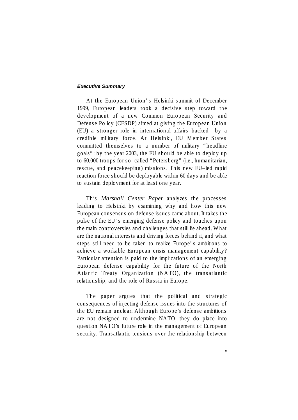### *Executive Summary*

At the European Union's Helsinki summit of December 1999, European leaders took a decisive step toward the development of a new Common European Security and Defense Policy (CESDP) aimed at giving the European Union (EU) a stronger role in international affairs backed by a credible military force. At Helsinki, EU Member States committed themselves to a number of military "headline goals": by the year 2003, the EU should be able to deploy up to 60,000 troops for so–called "Petersberg" (i.e., humanitarian, rescue, and peacekeeping) missions. This new EU–led rapid reaction force should be deployable within 60 days and be able to sustain deployment for at least one year.

This *Marshall Center Paper* analyzes the processes leading to Helsinki by examining why and how this new European consensus on defense issues came about. It takes the pulse of the EU's emerging defense policy and touches upon the main controversies and challenges that still lie ahead. What are the national interests and driving forces behind it, and what steps still need to be taken to realize Europe's ambitions to achieve a workable European crisis management capability? Particular attention is paid to the implications of an emerging European defense capability for the future of the North Atlantic Treaty Organization (NATO), the transatlantic relationship, and the role of Russia in Europe.

The paper argues that the political and strategic consequences of injecting defense issues into the structures of the EU remain unclear. Although Europe's defense ambitions are not designed to undermine NATO, they do place into question NATO's future role in the management of European security. Transatlantic tensions over the relationship between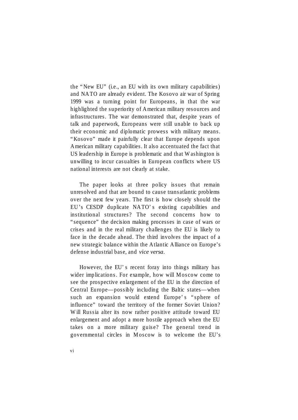the "New EU" (i.e., an EU with its own military capabilities) and NATO are already evident. The Kosovo air war of Spring 1999 was a turning point for Europeans, in that the war highlighted the superiority of American military resources and infrastructures. The war demonstrated that, despite years of talk and paperwork, Europeans were still unable to back up their economic and diplomatic prowess with military means. "Kosovo" made it painfully clear that Europe depends upon American military capabilities. It also accentuated the fact that US leadership in Europe is problematic and that Washington is unwilling to incur casualties in European conflicts where US national interests are not clearly at stake.

The paper looks at three policy issues that remain unresolved and that are bound to cause transatlantic problems over the next few years. The first is how closely should the EU's CESDP duplicate NATO's existing capabilities and institutional structures? The second concerns how to "sequence" the decision making processes in case of wars or crises and in the real military challenges the EU is likely to face in the decade ahead. The third involves the impact of a new strategic balance within the Atlantic Alliance on Europe's defense industrial base, and *vice versa*.

However, the EU's recent foray into things military has wider implications. For example, how will Moscow come to see the prospective enlargement of the EU in the direction of Central Europe— possibly including the Baltic states— when such an expansion would extend Europe's "sphere of influence" toward the territory of the former Soviet Union? Will Russia alter its now rather positive attitude toward EU enlargement and adopt a more hostile approach when the EU takes on a more military guise? The general trend in governmental circles in Moscow is to welcome the EU's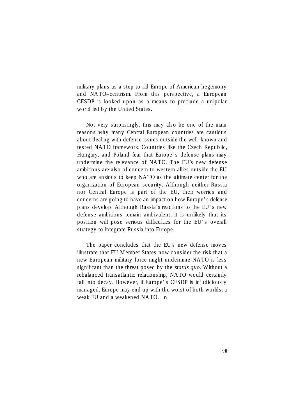military plans as a step to rid Europe of American hegemony and NATO–centrism. From this perspective, a European CESDP is looked upon as a means to preclude a unipolar world led by the United States.

Not very surprisingly, this may also be one of the main reasons why many Central European countries are cautious about dealing with defense issues outside the well–known and tested NATO framework. Countries like the Czech Republic, Hungary, and Poland fear that Europe's defense plans may undermine the relevance of NATO. The EU's new defense ambitions are also of concern to western allies outside the EU who are anxious to keep NATO as the ultimate center for the organization of European security. Although neither Russia nor Central Europe is part of the EU, their worries and concerns are going to have an impact on how Europe's defense plans develop. Although Russia's reactions to the EU's new defense ambitions remain ambivalent, it is unlikely that its position will pose serious difficulties for the EU's overall strategy to integrate Russia into Europe.

The paper concludes that the EU's new defense moves illustrate that EU Member States now consider the risk that a new European military force might undermine NATO is less significant than the threat posed by the *status quo*. Without a rebalanced transatlantic relationship, NATO would certainly fall into decay. However, if Europe's CESDP is injudiciously managed, Europe may end up with the worst of both worlds: a weak EU and a weakened NATO. n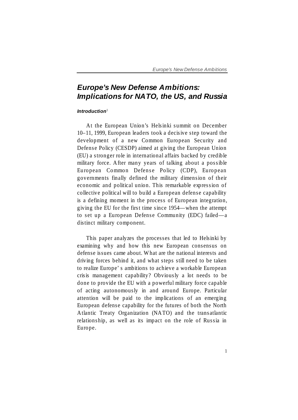# *Europe's New Defense Ambitions: Implications for NATO, the US, and Russia*

### *Introduction*<sup>1</sup>

At the European Union's Helsinki summit on December 10–11, 1999, European leaders took a decisive step toward the development of a new Common European Security and Defense Policy (CESDP) aimed at giving the European Union (EU) a stronger role in international affairs backed by credible military force. After many years of talking about a possible European Common Defense Policy (CDP), European governments finally defined the military dimension of their economic and political union. This remarkable expression of collective political will to build a European defense capability is a defining moment in the process of European integration, giving the EU for the first time since 1954— when the attempt to set up a European Defense Community (EDC) failed— a distinct military component.

This paper analyzes the processes that led to Helsinki by examining why and how this new European consensus on defense issues came about. What are the national interests and driving forces behind it, and what steps still need to be taken to realize Europe's ambitions to achieve a workable European crisis management capability? Obviously a lot needs to be done to provide the EU with a powerful military force capable of acting autonomously in and around Europe. Particular attention will be paid to the implications of an emerging European defense capability for the futures of both the North Atlantic Treaty Organization (NATO) and the transatlantic relationship, as well as its impact on the role of Russia in Europe.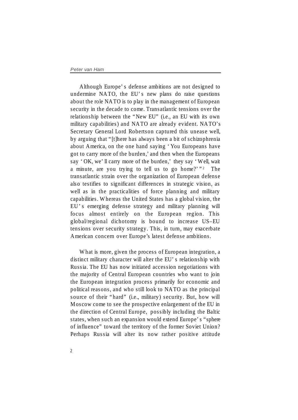Although Europe's defense ambitions are not designed to undermine NATO, the EU's new plans do raise questions about the role NATO is to play in the management of European security in the decade to come. Transatlantic tensions over the relationship between the "New EU" (i.e., an EU with its own military capabilities) and NATO are already evident. NATO's Secretary General Lord Robertson captured this unease well, by arguing that "[t]here has always been a bit of schizophrenia about America, on the one hand saying 'You Europeans have got to carry more of the burden,' and then when the Europeans say 'OK, we'll carry more of the burden,' they say 'Well, wait a minute, are you trying to tell us to go home?'"<sup>2</sup> The transatlantic strain over the organization of European defense also testifies to significant differences in strategic vision, as well as in the practicalities of force planning and military capabilities. Whereas the United States has a global vision, the EU's emerging defense strategy and military planning will focus almost entirely on the European region. This global/regional dichotomy is bound to increase US–EU tensions over security strategy. This, in turn, may exacerbate American concern over Europe's latest defense ambitions.

What is more, given the process of European integration, a distinct military character will alter the EU's relationship with Russia. The EU has now initiated accession negotiations with the majority of Central European countries who want to join the European integration process primarily for economic and political reasons, and who still look to NATO as the principal source of their "hard" (i.e., military) security. But, how will Moscow come to see the prospective enlargement of the EU in the direction of Central Europe, possibly including the Baltic states, when such an expansion would extend Europe's "sphere of influence" toward the territory of the former Soviet Union? Perhaps Russia will alter its now rather positive attitude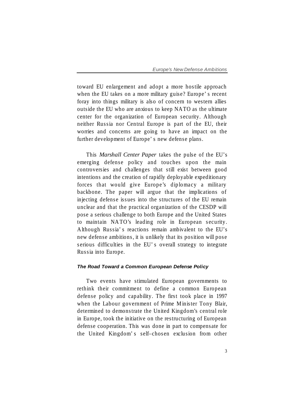toward EU enlargement and adopt a more hostile approach when the EU takes on a more military guise? Europe's recent foray into things military is also of concern to western allies outside the EU who are anxious to keep NATO as the ultimate center for the organization of European security. Although neither Russia nor Central Europe is part of the EU, their worries and concerns are going to have an impact on the further development of Europe's new defense plans.

This *Marshall Center Paper* takes the pulse of the EU's emerging defense policy and touches upon the main controversies and challenges that still exist between good intentions and the creation of rapidly deployable expeditionary forces that would give Europe's diplomacy a military backbone. The paper will argue that the implications of injecting defense issues into the structures of the EU remain unclear and that the practical organization of the CESDP will pose a serious challenge to both Europe and the United States to maintain NATO's leading role in European security. Although Russia's reactions remain ambivalent to the EU's new defense ambitions, it is unlikely that its position will pose serious difficulties in the EU's overall strategy to integrate Russia into Europe.

### *The Road Toward a Common European Defense Policy*

Two events have stimulated European governments to rethink their commitment to define a common European defense policy and capability. The first took place in 1997 when the Labour government of Prime Minister Tony Blair, determined to demonstrate the United Kingdom's central role in Europe, took the initiative on the restructuring of European defense cooperation. This was done in part to compensate for the United Kingdom's self–chosen exclusion from other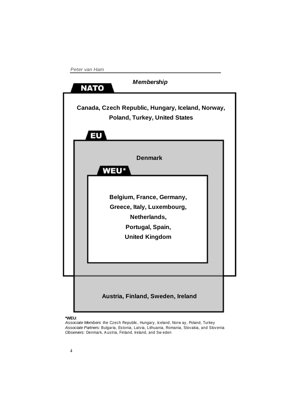*Peter van Ham*



**<sup>\*</sup>WEU**:

*Associate Members*: the Czech Republic, Hungary, Iceland, Norway, Poland, Turkey *Associate Partners:* Bulgaria, Estonia, Latvia, Lithuania, Romania, Slovakia, and Slovenia *Observers:* Denmark, Austria, Finland, Ireland, and Sweden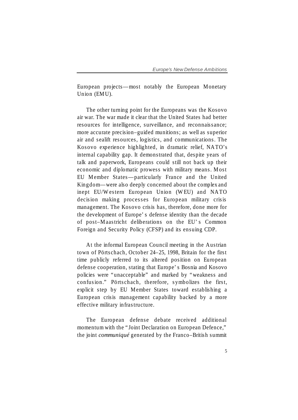European projects— most notably the European Monetary Union (EMU).

The other turning point for the Europeans was the Kosovo air war. The war made it clear that the United States had better resources for intelligence, surveillance, and reconnaissance; more accurate precision–guided munitions; as well as superior air and sealift resources, logistics, and communications. The Kosovo experience highlighted, in dramatic relief, NATO's internal capability gap. It demonstrated that, despite years of talk and paperwork, Europeans could still not back up their economic and diplomatic prowess with military means. Most EU Member States— particularly France and the United Kingdom— were also deeply concerned about the complex and inept EU/Western European Union (WEU) and NATO decision making processes for European military crisis management. The Kosovo crisis has, therefore, done more for the development of Europe's defense identity than the decade of post–Maastricht deliberations on the EU's Common Foreign and Security Policy (CFSP) and its ensuing CDP.

At the informal European Council meeting in the Austrian town of Pörtschach, October 24–25, 1998, Britain for the first time publicly referred to its altered position on European defense cooperation, stating that Europe's Bosnia and Kosovo policies were "unacceptable" and marked by "weakness and confusion." Pörtschach, therefore, symbolizes the first, explicit step by EU Member States toward establishing a European crisis management capability backed by a more effective military infrastructure.

The European defense debate received additional momentum with the "Joint Declaration on European Defence," the joint *communiqué* generated by the Franco–British summit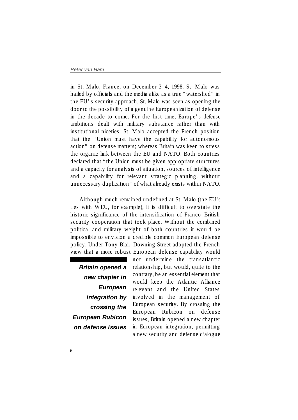in St. Malo, France, on December 3–4, 1998. St. Malo was hailed by officials and the media alike as a true "watershed" in the EU's security approach. St. Malo was seen as opening the door to the possibility of a genuine Europeanization of defense in the decade to come. For the first time, Europe's defense ambitions dealt with military substance rather than with institutional niceties. St. Malo accepted the French position that the "Union must have the capability for autonomous action" on defense matters; whereas Britain was keen to stress the organic link between the EU and NATO. Both countries declared that "the Union must be given appropriate structures and a capacity for analysis of situation, sources of intelligence and a capability for relevant strategic planning, without unnecessary duplication" of what already exists within NATO.

Although much remained undefined at St. Malo (the EU's ties with WEU, for example), it is difficult to overstate the historic significance of the intensification of Franco–British security cooperation that took place. Without the combined political and military weight of both countries it would be impossible to envision a credible common European defense policy. Under Tony Blair, Downing Street adopted the French view that a more robust European defense capability would

*Britain opened a new chapter in European integration by crossing the European Rubicon on defense issues* 

not undermine the transatlantic relationship, but would, quite to the contrary, be an essential element that would keep the Atlantic Alliance relevant and the United States involved in the management of European security. By crossing the European Rubicon on defense issues, Britain opened a new chapter in European integration, permitting a new security and defense dialogue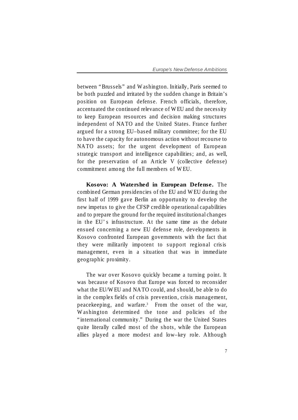between "Brussels" and Washington. Initially, Paris seemed to be both puzzled and irritated by the sudden change in Britain's position on European defense. French officials, therefore, accentuated the continued relevance of WEU and the necessity to keep European resources and decision making structures independent of NATO and the United States. France further argued for a strong EU–based military committee; for the EU to have the capacity for autonomous action without recourse to NATO assets; for the urgent development of European strategic transport and intelligence capabilities; and, as well, for the preservation of an Article V (collective defense) commitment among the full members of WEU.

**Kosovo: A Watershed in European Defense.** The combined German presidencies of the EU and WEU during the first half of 1999 gave Berlin an opportunity to develop the new impetus to give the CFSP credible operational capabilities and to prepare the ground for the required institutional changes in the EU's infrastructure. At the same time as the debate ensued concerning a new EU defense role, developments in Kosovo confronted European governments with the fact that they were militarily impotent to support regional crisis management, even in a situation that was in immediate geographic proximity.

The war over Kosovo quickly became a turning point. It was because of Kosovo that Europe was forced to reconsider what the EU/WEU and NATO could, and should, be able to do in the complex fields of crisis prevention, crisis management, peacekeeping, and warfare.<sup>3</sup> From the onset of the war, Washington determined the tone and policies of the "international community." During the war the United States quite literally called most of the shots, while the European allies played a more modest and low–key role. Although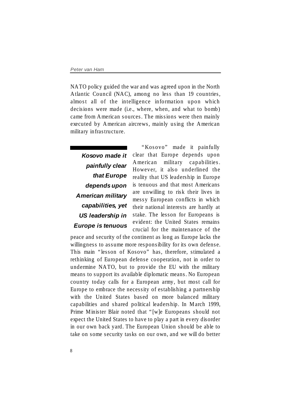NATO policy guided the war and was agreed upon in the North Atlantic Council (NAC), among no less than 19 countries, almost all of the intelligence information upon which decisions were made (i.e., where, when, and what to bomb) came from American sources. The missions were then mainly executed by American aircrews, mainly using the American military infrastructure.

*Kosovo made it painfully clear that Europe depends upon American military capabilities, yet US leadership in Europe is tenuous*

"Kosovo" made it painfully clear that Europe depends upon American military capabilities. However, it also underlined the reality that US leadership in Europe is tenuous and that most Americans are unwilling to risk their lives in messy European conflicts in which their national interests are hardly at stake. The lesson for Europeans is evident: the United States remains crucial for the maintenance of the

peace and security of the continent as long as Europe lacks the willingness to assume more responsibility for its own defense. This main "lesson of Kosovo" has, therefore, stimulated a rethinking of European defense cooperation, not in order to undermine NATO, but to provide the EU with the military means to support its available diplomatic means. No European country today calls for a European army, but most call for Europe to embrace the necessity of establishing a partnership with the United States based on more balanced military capabilities and shared political leadership. In March 1999, Prime Minister Blair noted that "[w]e Europeans should not expect the United States to have to play a part in every disorder in our own back yard. The European Union should be able to take on some security tasks on our own, and we will do better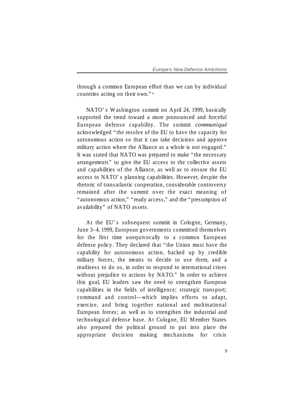through a common European effort than we can by individual countries acting on their own."<sup>4</sup>

NATO's Washington summit on April 24, 1999, basically supported the trend toward a more pronounced and forceful European defense capability. The summit *communiqué* acknowledged "the resolve of the EU to have the capacity for autonomous action so that it can take decisions and approve military action where the Alliance as a whole is not engaged." It was stated that NATO was prepared to make "the necessary arrangements" to give the EU access to the collective assets and capabilities of the Alliance, as well as to ensure the EU access to NATO's planning capabilities. However, despite the rhetoric of transatlantic cooperation, considerable controversy remained after the summit over the exact meaning of "autonomous action," "ready access," and the "presumption of availability" of NATO assets.

At the EU's subsequent summit in Cologne, Germany, June 3–4, 1999, European governments committed themselves for the first time unequivocally to a common European defense policy. They declared that "the Union must have the capability for autonomous action, backed up by credible military forces, the means to decide to use them, and a readiness to do so, in order to respond to international crises without prejudice to actions by NATO." In order to achieve this goal, EU leaders saw the need to strengthen European capabilities in the fields of intelligence; strategic transport; command and control— which implies efforts to adapt, exercise, and bring together national and multinational European forces; as well as to strengthen the industrial and technological defense base. At Cologne, EU Member States also prepared the political ground to put into place the appropriate decision making mechanisms for crisis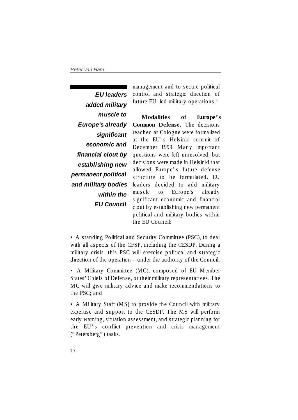*EU leaders added military muscle to Europe's already significant economic and financial clout by establishing new permanent political and military bodies within the EU Council*

management and to secure political control and strategic direction of future EU–led military operations.<sup>5</sup>

**Modalities of Europe's Common Defense.** The decisions reached at Cologne were formalized at the EU's Helsinki summit of December 1999. Many important questions were left unresolved, but decisions were made in Helsinki that allowed Europe's future defense structure to be formulated. EU leaders decided to add military muscle to Europe's already significant economic and financial clout by establishing new permanent political and military bodies within the EU Council:

• A standing Political and Security Committee (PSC), to deal with all aspects of the CFSP, including the CESDP. During a military crisis, this PSC will exercise political and strategic direction of the operation—under the authority of the Council;

• A Military Committee (MC), composed of EU Member States' Chiefs of Defense, or their military representatives. The MC will give military advice and make recommendations to the PSC; and

• A Military Staff (MS) to provide the Council with military expertise and support to the CESDP. The MS will perform early warning, situation assessment, and strategic planning for the EU's conflict prevention and crisis management ("Petersberg") tasks.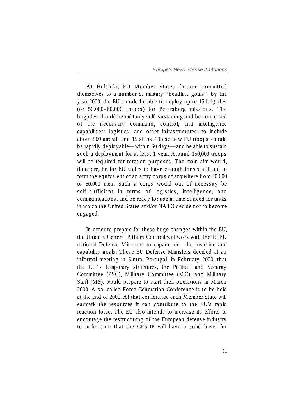At Helsinki, EU Member States further committed themselves to a number of military "headline goals": by the year 2003, the EU should be able to deploy up to 15 brigades (or 50,000–60,000 troops) for Petersberg missions. The brigades should be militarily self–sustaining and be comprised of the necessary command, control, and intelligence capabilities; logistics; and other infrastructures, to include about 500 aircraft and 15 ships. These new EU troops should be rapidly deployable— within 60 days— and be able to sustain such a deployment for at least 1 year. Around 150,000 troops will be required for rotation purposes. The main aim would, therefore, be for EU states to have enough forces at hand to form the equivalent of an army corps of anywhere from 40,000 to 60,000 men. Such a corps would out of necessity be self–sufficient in terms of logistics, intelligence, and communications, and be ready for use in time of need for tasks in which the United States and/or NATO decide not to become engaged.

In order to prepare for these huge changes within the EU, the Union's General Affairs Council will work with the 15 EU national Defense Ministers to expand on the headline and capability goals. These EU Defense Ministers decided at an informal meeting in Sintra, Portugal, in February 2000, that the EU's temporary structures, the Political and Security Committee (PSC), Military Committee (MC), and Military Staff (MS), would prepare to start their operations in March 2000. A so–called Force Generation Conference is to be held at the end of 2000. At that conference each Member State will earmark the resources it can contribute to the EU's rapid reaction force. The EU also intends to increase its efforts to encourage the restructuring of the European defense industry to make sure that the CESDP will have a solid basis for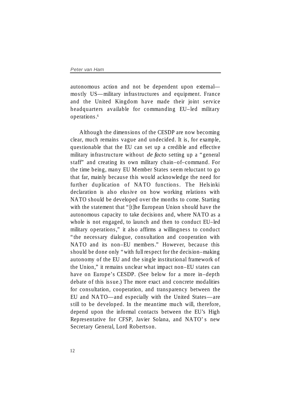autonomous action and not be dependent upon external mostly US— military infrastructures and equipment. France and the United Kingdom have made their joint service headquarters available for commanding EU–led military operations.<sup>6</sup>

Although the dimensions of the CESDP are now becoming clear, much remains vague and undecided. It is, for example, questionable that the EU can set up a credible and effective military infrastructure without *de facto* setting up a "general staff" and creating its own military chain–of–command. For the time being, many EU Member States seem reluctant to go that far, mainly because this would acknowledge the need for further duplication of NATO functions. The Helsinki declaration is also elusive on how working relations with NATO should be developed over the months to come. Starting with the statement that "[t]he European Union should have the autonomous capacity to take decisions and, where NATO as a whole is not engaged, to launch and then to conduct EU–led military operations," it also affirms a willingness to conduct "the necessary dialogue, consultation and cooperation with NATO and its non–EU members." However, because this should be done only "with full respect for the decision–making autonomy of the EU and the single institutional framework of the Union," it remains unclear what impact non–EU states can have on Europe's CESDP. (See below for a more in–depth debate of this issue.) The more exact and concrete modalities for consultation, cooperation, and transparency between the EU and NATO— and especially with the United States— are still to be developed. In the meantime much will, therefore, depend upon the informal contacts between the EU's High Representative for CFSP, Javier Solana, and NATO's new Secretary General, Lord Robertson.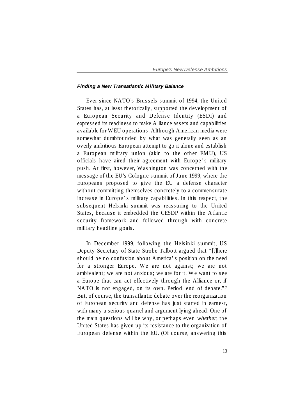### *Finding a New Transatlantic Military Balance*

Ever since NATO's Brussels summit of 1994, the United States has, at least rhetorically, supported the development of a European Security and Defense Identity (ESDI) and expressed its readiness to make Alliance assets and capabilities available for WEU operations. Although American media were somewhat dumbfounded by what was generally seen as an overly ambitious European attempt to go it alone and establish a European military union (akin to the other EMU), US officials have aired their agreement with Europe's military push. At first, however, Washington was concerned with the message of the EU's Cologne summit of June 1999, where the Europeans proposed to give the EU a defense character without committing themselves concretely to a commensurate increase in Europe's military capabilities. In this respect, the subsequent Helsinki summit was reassuring to the United States, because it embedded the CESDP within the Atlantic security framework and followed through with concrete military headline goals.

In December 1999, following the Helsinki summit, US Deputy Secretary of State Strobe Talbott argued that "[t]here should be no confusion about America's position on the need for a stronger Europe. We are not against; we are not ambivalent; we are not anxious; we are for it. We want to see a Europe that can act effectively through the Alliance or, if NATO is not engaged, on its own. Period, end of debate."<sup>7</sup> But, of course, the transatlantic debate over the reorganization of European security and defense has just started in earnest, with many a serious quarrel and argument lying ahead. One of the main questions will be why, or perhaps even *whether*, the United States has given up its resistance to the organization of European defense within the EU. (Of course, answering this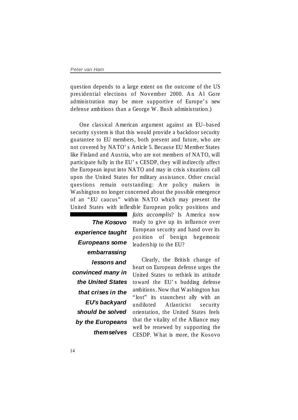question depends to a large extent on the outcome of the US presidential elections of November 2000. An Al Gore administration may be more supportive of Europe's new defense ambitions than a George W. Bush administration.)

One classical American argument against an EU–based security system is that this would provide a backdoor security guarantee to EU members, both present and future, who are not covered by NATO's Article 5. Because EU Member States like Finland and Austria, who are not members of NATO, will participate fully in the EU's CESDP, they will indirectly affect the European input into NATO and may in crisis situations call upon the United States for military assistance. Other crucial questions remain outstanding: Are policy makers in Washington no longer concerned about the possible emergence of an "EU caucus" within NATO which may present the United States with inflexible European policy positions and

*The Kosovo experience taught Europeans some embarrassing lessons and convinced many in the United States that crises in the EU's backyard should be solved by the Europeans themselves* *faits accomplis*? Is America now ready to give up its influence over European security and hand over its position of benign hegemonic leadership to the EU?

Clearly, the British change of heart on European defense urges the United States to rethink its attitude toward the EU's budding defense ambitions. Now that Washington has "lost" its staunchest ally with an undiluted Atlanticist security orientation, the United States feels that the vitality of the Alliance may well be renewed by supporting the CESDP. What is more, the Kosovo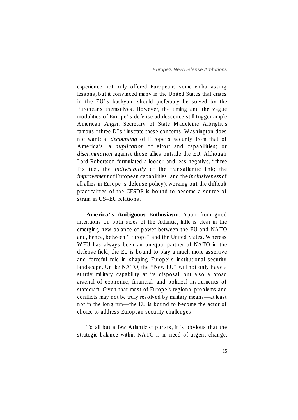experience not only offered Europeans some embarrassing lessons, but it convinced many in the United States that crises in the EU's backyard should preferably be solved by the Europeans themselves. However, the timing and the vague modalities of Europe's defense adolescence still trigger ample American *Angst*. Secretary of State Madeleine Albright's famous "three D"s illustrate these concerns. Washington does not want: a *decoupling* of Europe's security from that of America's; a *duplication* of effort and capabilities; or *discrimination* against those allies outside the EU. Although Lord Robertson formulated a looser, and less negative, "three I"s (i.e., the *indivisibility* of the transatlantic link; the *improvement* of European capabilities; and the *inclusiveness* of all allies in Europe's defense policy), working out the difficult practicalities of the CESDP is bound to become a source of strain in US–EU relations.

**America's Ambiguous Enthusiasm.** Apart from good intentions on both sides of the Atlantic, little is clear in the emerging new balance of power between the EU and NATO and, hence, between "Europe" and the United States. Whereas WEU has always been an unequal partner of NATO in the defense field, the EU is bound to play a much more assertive and forceful role in shaping Europe's institutional security landscape. Unlike NATO, the "New EU" will not only have a sturdy military capability at its disposal, but also a broad arsenal of economic, financial, and political instruments of statecraft. Given that most of Europe's regional problems and conflicts may not be truly resolved by military means— at least not in the long run— the EU is bound to become the actor of choice to address European security challenges.

To all but a few Atlanticist purists, it is obvious that the strategic balance within NATO is in need of urgent change.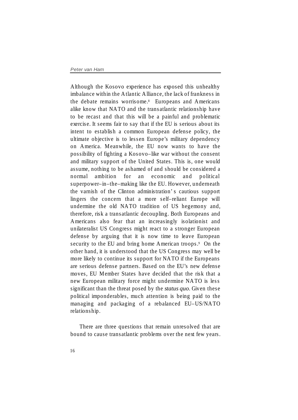Although the Kosovo experience has exposed this unhealthy imbalance within the Atlantic Alliance, the lack of frankness in the debate remains worrisome.<sup>8</sup> Europeans and Americans alike know that NATO and the transatlantic relationship have to be recast and that this will be a painful and problematic exercise. It seems fair to say that if the EU is serious about its intent to establish a common European defense policy, the ultimate objective is to lessen Europe's military dependency on America. Meanwhile, the EU now wants to have the possibility of fighting a Kosovo–like war without the consent and military support of the United States. This is, one would assume, nothing to be ashamed of and should be considered a normal ambition for an economic and political superpower–in–the–making like the EU. However, underneath the varnish of the Clinton administration's cautious support lingers the concern that a more self–reliant Europe will undermine the old NATO tradition of US hegemony and, therefore, risk a transatlantic decoupling. Both Europeans and Americans also fear that an increasingly isolationist and unilateralist US Congress might react to a stronger European defense by arguing that it is now time to leave European security to the EU and bring home American troops.<sup>9</sup> On the other hand, it is understood that the US Congress may well be more likely to continue its support for NATO if the Europeans are serious defense partners. Based on the EU's new defense moves, EU Member States have decided that the risk that a new European military force might undermine NATO is less significant than the threat posed by the *status quo*. Given these political imponderables, much attention is being paid to the managing and packaging of a rebalanced EU–US/NATO relationship.

There are three questions that remain unresolved that are bound to cause transatlantic problems over the next few years.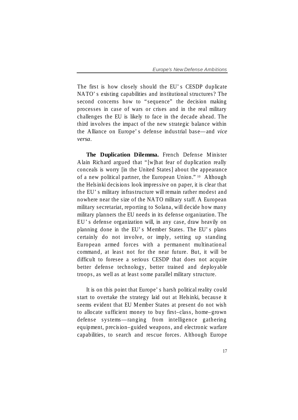The first is how closely should the EU's CESDP duplicate NATO's existing capabilities and institutional structures? The second concerns how to "sequence" the decision making processes in case of wars or crises and in the real military challenges the EU is likely to face in the decade ahead. The third involves the impact of the new strategic balance within the Alliance on Europe's defense industrial base— and *vice versa*.

**The Duplication Dilemma.** French Defense Minister Alain Richard argued that "[w]hat fear of duplication really conceals is worry [in the United States] about the appearance of a new political partner, the European Union."<sup>10</sup> Although the Helsinki decisions look impressive on paper, it is clear that the EU's military infrastructure will remain rather modest and nowhere near the size of the NATO military staff. A European military secretariat, reporting to Solana, will decide how many military planners the EU needs in its defense organization. The EU's defense organization will, in any case, draw heavily on planning done in the EU's Member States. The EU's plans certainly do not involve, or imply, setting up standing European armed forces with a permanent multinational command, at least not for the near future. But, it will be difficult to foresee a serious CESDP that does not acquire better defense technology, better trained and deployable troops, as well as at least some parallel military structure.

It is on this point that Europe's harsh political reality could start to overtake the strategy laid out at Helsinki, because it seems evident that EU Member States at present do not wish to allocate sufficient money to buy first–class, home–grown defense systems— ranging from intelligence gathering equipment, precision–guided weapons, and electronic warfare capabilities, to search and rescue forces. Although Europe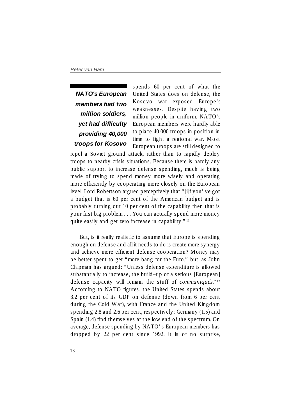# *NATO's European members had two million soldiers, yet had difficulty providing 40,000 troops for Kosovo*

spends 60 per cent of what the United States does on defense, the Kosovo war exposed Europe's weaknesses. Despite having two million people in uniform, NATO's European members were hardly able to place 40,000 troops in position in time to fight a regional war. Most European troops are still designed to

repel a Soviet ground attack, rather than to rapidly deploy troops to nearby crisis situations. Because there is hardly any public support to increase defense spending, much is being made of trying to spend money more wisely and operating more efficiently by cooperating more closely on the European level. Lord Robertson argued perceptively that "[i]f you've got a budget that is 60 per cent of the American budget and is probably turning out 10 per cent of the capability then that is your first big problem . . . You can actually spend more money quite easily and get zero increase in capability."<sup>11</sup>

But, is it really realistic to assume that Europe is spending enough on defense and all it needs to do is create more synergy and achieve more efficient defense cooperation? Money may be better spent to get "more bang for the Euro," but, as John Chipman has argued: "Unless defense expenditure is allowed substantially to increase, the build–up of a serious [European] defense capacity will remain the stuff of *communiqués*."<sup>12</sup> According to NATO figures, the United States spends about 3.2 per cent of its GDP on defense (down from 6 per cent during the Cold War), with France and the United Kingdom spending 2.8 and 2.6 per cent, respectively; Germany (1.5) and Spain (1.4) find themselves at the low end of the spectrum. On average, defense spending by NATO's European members has dropped by 22 per cent since 1992. It is of no surprise,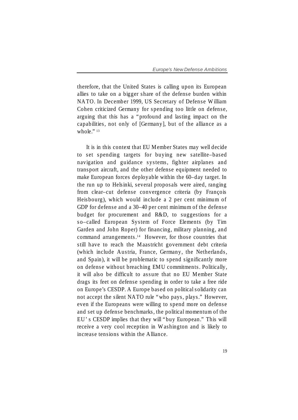therefore, that the United States is calling upon its European allies to take on a bigger share of the defense burden within NATO. In December 1999, US Secretary of Defense William Cohen criticized Germany for spending too little on defense, arguing that this has a "profound and lasting impact on the capabilities, not only of [Germany], but of the alliance as a whole." $13$ 

It is in this context that EU Member States may well decide to set spending targets for buying new satellite–based navigation and guidance systems, fighter airplanes and transport aircraft, and the other defense equipment needed to make European forces deployable within the 60–day target. In the run up to Helsinki, several proposals were aired, ranging from clear–cut defense convergence criteria (by François Heisbourg), which would include a 2 per cent minimum of GDP for defense and a 30–40 per cent minimum of the defense budget for procurement and R&D, to suggestions for a so–called European System of Force Elements (by Tim Garden and John Roper) for financing, military planning, and command arrangements.<sup>14</sup> However, for those countries that still have to reach the Maastricht government debt criteria (which include Austria, France, Germany, the Netherlands, and Spain), it will be problematic to spend significantly more on defense without breaching EMU commitments. Politically, it will also be difficult to assure that no EU Member State drags its feet on defense spending in order to take a free ride on Europe's CESDP. A Europe based on political solidarity can not accept the silent NATO rule "who pays, plays." However, even if the Europeans were willing to spend more on defense and set up defense benchmarks, the political momentum of the EU's CESDP implies that they will "buy European." This will receive a very cool reception in Washington and is likely to increase tensions within the Alliance.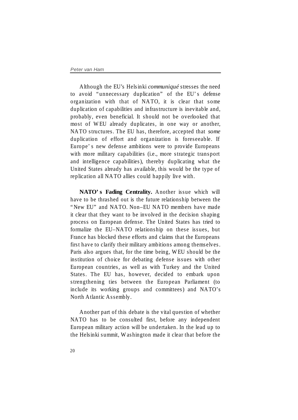Although the EU's Helsinki *communiqué* stresses the need to avoid "unnecessary duplication" of the EU's defense organization with that of NATO, it is clear that some duplication of capabilities and infrastructure is inevitable and, probably, even beneficial. It should not be overlooked that most of WEU already duplicates, in one way or another, NATO structures. The EU has, therefore, accepted that *some* duplication of effort and organization is foreseeable. If Europe's new defense ambitions were to provide Europeans with more military capabilities (i.e., more strategic transport and intelligence capabilities), thereby duplicating what the United States already has available, this would be the type of replication all NATO allies could happily live with.

**NATO's Fading Centrality.** Another issue which will have to be thrashed out is the future relationship between the "New EU" and NATO. Non–EU NATO members have made it clear that they want to be involved in the decision shaping process on European defense. The United States has tried to formalize the EU–NATO relationship on these issues, but France has blocked these efforts and claims that the Europeans first have to clarify their military ambitions among themselves. Paris also argues that, for the time being, WEU should be the institution of choice for debating defense issues with other European countries, as well as with Turkey and the United States. The EU has, however, decided to embark upon strengthening ties between the European Parliament (to include its working groups and committees) and NATO's North Atlantic Assembly.

Another part of this debate is the vital question of whether NATO has to be consulted first, before any independent European military action will be undertaken. In the lead up to the Helsinki summit, Washington made it clear that before the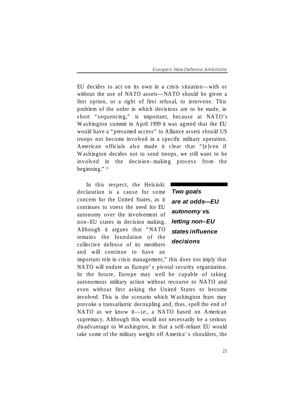EU decides to act on its own in a crisis situation— with or without the use of NATO assets— NATO should be given a first option, or a right of first refusal, to intervene. This problem of the order in which decisions are to be made, in short "sequencing," is important, because at NATO's Washington summit in April 1999 it was agreed that the EU would have a "presumed access" to Alliance assets should US troops not become involved in a specific military operation. American officials also made it clear that "[e]ven if Washington decides not to send troops, we still want to be involved in the decision–making process from the beginning." $15$ 

In this respect, the Helsinki declaration is a cause for some concern for the United States, as it continues to stress the need for EU autonomy over the involvement of non–EU states in decision making. Although it argues that "NATO remains the foundation of the collective defense of its members and will continue to have an

*Two goals are at odds— EU autonomy vs. letting non–EU states influence decisions*

important role in crisis management," this does not imply that NATO will endure as Europe's pivotal security organization. In the future, Europe may well be capable of taking autonomous military action without recourse to NATO and even without first asking the United States to become involved. This is the scenario which Washington fears may provoke a transatlantic decoupling and, thus, spell the end of NATO as we know it—i.e., a NATO based on American supremacy. Although this would not necessarily be a serious disadvantage to Washington, in that a self–reliant EU would take some of the military weight off America's shoulders, the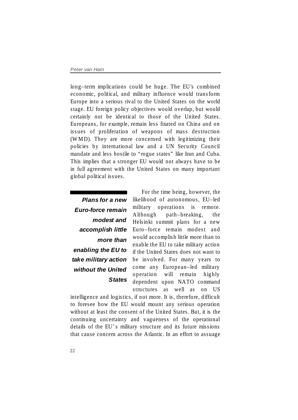long–term implications could be huge. The EU's combined economic, political, and military influence would transform Europe into a serious rival to the United States on the world stage. EU foreign policy objectives would overlap, but would certainly not be identical to those of the United States. Europeans, for example, remain less fixated on China and on issues of proliferation of weapons of mass destruction (WMD). They are more concerned with legitimizing their policies by international law and a UN Security Council mandate and less hostile to "rogue states" like Iran and Cuba. This implies that a stronger EU would not always have to be in full agreement with the United States on many important global political issues.

*Plans for a new Euro-force remain modest and accomplish little more than enabling the EU to take military action without the United States*

For the time being, however, the likelihood of autonomous, EU–led military operations is remote. Although path–breaking, the Helsinki summit plans for a new Euro–force remain modest and would accomplish little more than to enable the EU to take military action if the United States does not want to be involved. For many years to come any European–led military operation will remain highly dependent upon NATO command structures as well as on US

intelligence and logistics, if not more. It is, therefore, difficult to foresee how the EU would mount any serious operation without at least the consent of the United States. But, it is the continuing uncertainty and vagueness of the operational details of the EU's military structure and its future missions that cause concern across the Atlantic. In an effort to assuage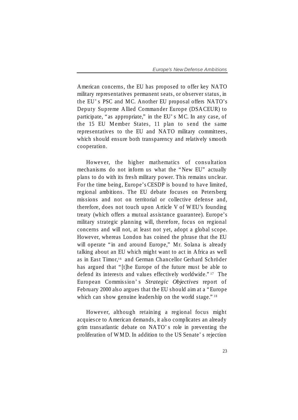American concerns, the EU has proposed to offer key NATO military representatives permanent seats, or observer status, in the EU's PSC and MC. Another EU proposal offers NATO's Deputy Supreme Allied Commander Europe (DSACEUR) to participate, "as appropriate," in the EU's MC. In any case, of the 15 EU Member States, 11 plan to send the same representatives to the EU and NATO military committees, which should ensure both transparency and relatively smooth cooperation.

However, the higher mathematics of consultation mechanisms do not inform us what the "New EU" actually plans to do with its fresh military power. This remains unclear. For the time being, Europe's CESDP is bound to have limited, regional ambitions. The EU debate focuses on Petersberg missions and not on territorial or collective defense and, therefore, does not touch upon Article V of WEU's founding treaty (which offers a mutual assistance guarantee). Europe's military strategic planning will, therefore, focus on regional concerns and will not, at least not yet, adopt a global scope. However, whereas London has coined the phrase that the EU will operate "in and around Europe," Mr. Solana is already talking about an EU which might want to act in Africa as well as in East Timor,<sup>16</sup> and German Chancellor Gerhard Schröder has argued that "[t]he Europe of the future must be able to defend its interests and values effectively worldwide."<sup>17</sup> The European Commission's *Strategic Objectives* report of February 2000 also argues that the EU should aim at a "Europe which can show genuine leadership on the world stage."<sup>18</sup>

However, although retaining a regional focus might acquiesce to American demands, it also complicates an already grim transatlantic debate on NATO's role in preventing the proliferation of WMD. In addition to the US Senate's rejection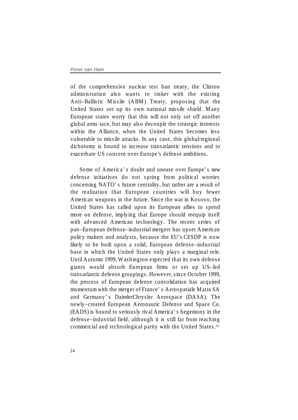of the comprehensive nuclear test ban treaty, the Clinton administration also wants to tinker with the existing Anti–Ballistic Missile (ABM) Treaty, proposing that the United States set up its own national missile shield. Many European states worry that this will not only set off another global arms race, but may also decouple the strategic interests within the Alliance, when the United States becomes less vulnerable to missile attacks. In any case, this global/regional dichotomy is bound to increase transatlantic tensions and to exacerbate US concern over Europe's defense ambitions.

Some of America's doubt and unease over Europe's new defense initiatives do not spring from political worries concerning NATO's future centrality, but rather are a result of the realization that European countries will buy fewer American weapons in the future. Since the war in Kosovo, the United States has called upon its European allies to spend more on defense, implying that Europe should reequip itself with advanced American technology. The recent series of pan–European defense–industrial mergers has upset American policy makers and analysts, because the EU's CESDP is now likely to be built upon a solid, European defense–industrial base in which the United States only plays a marginal role. Until Autumn 1999, Washington expected that its own defense giants would absorb European firms or set up US–led transatlantic defense groupings. However, since October 1999, the process of European defense consolidation has acquired momentum with the merger of France's Aerospatiale Matra SA and Germany's DaimlerChrysler Aerospace (DASA). The newly–created European Aeronautic Defense and Space Co. (EADS) is bound to seriously rival America's hegemony in the defense–industrial field, although it is still far from reaching commercial and technological parity with the United States.19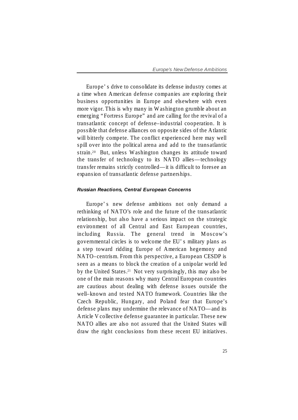Europe's drive to consolidate its defense industry comes at a time when American defense companies are exploring their business opportunities in Europe and elsewhere with even more vigor. This is why many in Washington grumble about an emerging "Fortress Europe" and are calling for the revival of a transatlantic concept of defense–industrial cooperation. It is possible that defense alliances on opposite sides of the Atlantic will bitterly compete. The conflict experienced here may well spill over into the political arena and add to the transatlantic strain.<sup>20</sup> But, unless Washington changes its attitude toward the transfer of technology to its NATO allies— technology transfer remains strictly controlled— it is difficult to foresee an expansion of transatlantic defense partnerships.

### *Russian Reactions, Central European Concerns*

Europe's new defense ambitions not only demand a rethinking of NATO's role and the future of the transatlantic relationship, but also have a serious impact on the strategic environment of all Central and East European countries, including Russia. The general trend in Moscow's governmental circles is to welcome the EU's military plans as a step toward ridding Europe of American hegemony and NATO–centrism. From this perspective, a European CESDP is seen as a means to block the creation of a unipolar world led by the United States.<sup>21</sup> Not very surprisingly, this may also be one of the main reasons why many Central European countries are cautious about dealing with defense issues outside the well–known and tested NATO framework. Countries like the Czech Republic, Hungary, and Poland fear that Europe's defense plans may undermine the relevance of NATO— and its Article V collective defense guarantee in particular. These new NATO allies are also not assured that the United States will draw the right conclusions from these recent EU initiatives.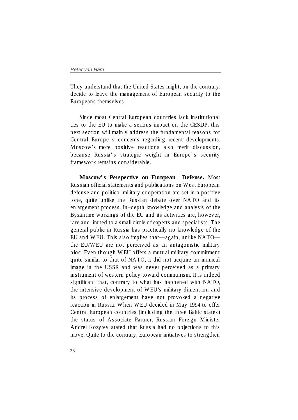They understand that the United States might, on the contrary, decide to leave the management of European security to the Europeans themselves.

Since most Central European countries lack institutional ties to the EU to make a serious impact on the CESDP, this next section will mainly address the fundamental reasons for Central Europe's concerns regarding recent developments. Moscow's more positive reactions also merit discussion, because Russia's strategic weight in Europe's security framework remains considerable.

**Moscow's Perspective on European Defense.** Most Russian official statements and publications on West European defense and politico–military cooperation are set in a positive tone, quite unlike the Russian debate over NATO and its enlargement process. In–depth knowledge and analysis of the Byzantine workings of the EU and its activities are, however, rare and limited to a small circle of experts and specialists. The general public in Russia has practically no knowledge of the EU and WEU. This also implies that— again, unlike NATO the EU/WEU are not perceived as an antagonistic military bloc. Even though WEU offers a mutual military commitment quite similar to that of NATO, it did not acquire an inimical image in the USSR and was never perceived as a primary instrument of western policy toward communism. It is indeed significant that, contrary to what has happened with NATO, the intensive development of WEU's military dimension and its process of enlargement have not provoked a negative reaction in Russia. When WEU decided in May 1994 to offer Central European countries (including the three Baltic states) the status of Associate Partner, Russian Foreign Minister Andrei Kozyrev stated that Russia had no objections to this move. Quite to the contrary, European initiatives to strengthen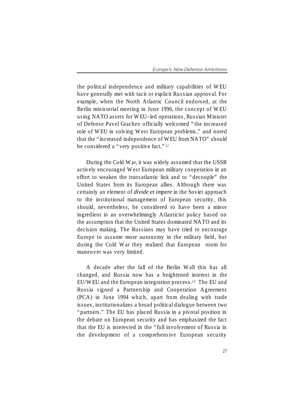the political independence and military capabilities of WEU have generally met with tacit or explicit Russian approval. For example, when the North Atlantic Council endorsed, at the Berlin ministerial meeting in June 1996, the concept of WEU using NATO assets for WEU–led operations, Russian Minister of Defense Pavel Grachev officially welcomed "the increased role of WEU in solving West European problems," and noted that the "increased independence of WEU from NATO" should be considered a "very positive fact."<sup>22</sup>

During the Cold War, it was widely assumed that the USSR actively encouraged West European military cooperation in an effort to weaken the transatlantic link and to "decouple" the United States from its European allies. Although there was certainly an element of *divide et impere* in the Soviet approach to the institutional management of European security, this should, nevertheless, be considered to have been a minor ingredient in an overwhelmingly Atlanticist policy based on the assumption that the United States dominated NATO and its decision making. The Russians may have tried to encourage Europe to assume more autonomy in the military field, but during the Cold War they realized that European room for maneuver was very limited.

A decade after the fall of the Berlin Wall this has all changed, and Russia now has a heightened interest in the EU/WEU and the European integration process.<sup>23</sup> The EU and Russia signed a Partnership and Cooperation Agreement (PCA) in June 1994 which, apart from dealing with trade issues, institutionalizes a broad political dialogue between two "partners." The EU has placed Russia in a pivotal position in the debate on European security and has emphasized the fact that the EU is interested in the "full involvement of Russia in the development of a comprehensive European security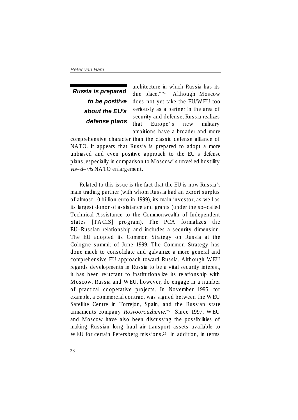# *Russia is prepared to be positive about the EU's defense plans*

architecture in which Russia has its due place."<sup>24</sup> Although Moscow does not yet take the EU/WEU too seriously as a partner in the area of security and defense, Russia realizes that Europe's new military ambitions have a broader and more

comprehensive character than the classic defense alliance of NATO. It appears that Russia is prepared to adopt a more unbiased and even positive approach to the EU's defense plans, especially in comparison to Moscow's unveiled hostility *vis–à–vis* NATO enlargement.

Related to this issue is the fact that the EU is now Russia's main trading partner (with whom Russia had an export surplus of almost 10 billion euro in 1999), its main investor, as well as its largest donor of assistance and grants (under the so–called Technical Assistance to the Commonwealth of Independent States [TACIS] program). The PCA formalizes the EU–Russian relationship and includes a security dimension. The EU adopted its Common Strategy on Russia at the Cologne summit of June 1999. The Common Strategy has done much to consolidate and galvanize a more general and comprehensive EU approach toward Russia. Although WEU regards developments in Russia to be a vital security interest, it has been reluctant to institutionalize its relationship with Moscow. Russia and WEU, however, do engage in a number of practical cooperative projects. In November 1995, for example, a commercial contract was signed between the WEU Satellite Centre in Torrejón, Spain, and the Russian state armaments company *Rosvoorouzhenie*. <sup>25</sup> Since 1997, WEU and Moscow have also been discussing the possibilities of making Russian long–haul air transport assets available to WEU for certain Petersberg missions.<sup>26</sup> In addition, in terms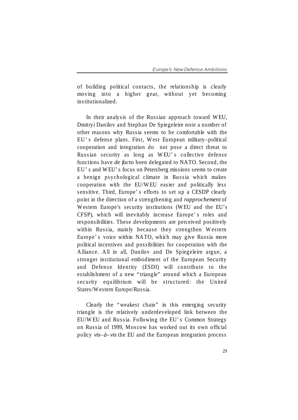of building political contacts, the relationship is clearly moving into a higher gear, without yet becoming institutionalized.

In their analysis of the Russian approach toward WEU, Dmitryi Danilov and Stephan De Spiegeleire note a number of other reasons why Russia seems to be comfortable with the EU's defense plans. First, West European military–political cooperation and integration do not pose a direct threat to Russian security as long as WEU's collective defense functions have *de facto* been delegated to NATO. Second, the EU's and WEU's focus on Petersberg missions seems to create a benign psychological climate in Russia which makes cooperation with the EU/WEU easier and politically less sensitive. Third, Europe's efforts to set up a CESDP clearly point in the direction of a strengthening and *rapprochement* of Western Europe's security institutions (WEU and the EU's CFSP), which will inevitably increase Europe's roles and responsibilities. These developments are perceived positively within Russia, mainly because they strengthen Western Europe's voice within NATO, which may give Russia more political incentives and possibilities for cooperation with the Alliance. All in all, Danilov and De Spiegeleire argue, a stronger institutional embodiment of the European Security and Defense Identity (ESDI) will contribute to the establishment of a new "triangle" around which a European security equilibrium will be structured: the United States/Western Europe/Russia.

Clearly the "weakest chain" in this emerging security triangle is the relatively underdeveloped link between the EU/WEU and Russia. Following the EU's Common Strategy on Russia of 1999, Moscow has worked out its own official policy *vis–à–vis* the EU and the European integration process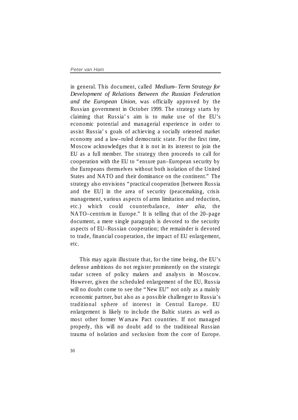### *Peter van Ham*

in general. This document, called *Medium–Term Strategy for Development of Relations Between the Russian Federation and the European Union*, was officially approved by the Russian government in October 1999. The strategy starts by claiming that Russia's aim is to make use of the EU's economic potential and managerial experience in order to assist Russia's goals of achieving a socially oriented market economy and a law–ruled democratic state. For the first time, Moscow acknowledges that it is not in its interest to join the EU as a full member. The strategy then proceeds to call for cooperation with the EU to "ensure pan–European security by the Europeans themselves without both isolation of the United States and NATO and their dominance on the continent." The strategy also envisions "practical cooperation [between Russia and the EU] in the area of security (peacemaking, crisis management, various aspects of arms limitation and reduction, etc.) which could counterbalance, *inter alia*, the NATO–centrism in Europe." It is telling that of the 20–page document, a mere single paragraph is devoted to the security aspects of EU–Russian cooperation; the remainder is devoted to trade, financial cooperation, the impact of EU enlargement, etc.

This may again illustrate that, for the time being, the EU's defense ambitions do not register prominently on the strategic radar screen of policy makers and analysts in Moscow. However, given the scheduled enlargement of the EU, Russia will no doubt come to see the "New EU" not only as a mainly economic partner, but also as a possible challenger to Russia's traditional sphere of interest in Central Europe. EU enlargement is likely to include the Baltic states as well as most other former Warsaw Pact countries. If not managed properly, this will no doubt add to the traditional Russian trauma of isolation and seclusion from the core of Europe.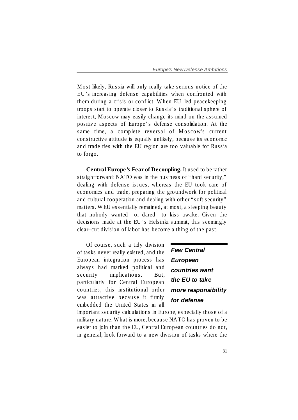Most likely, Russia will only really take serious notice of the EU's increasing defense capabilities when confronted with them during a crisis or conflict. When EU–led peacekeeping troops start to operate closer to Russia's traditional sphere of interest, Moscow may easily change its mind on the assumed positive aspects of Europe's defense consolidation. At the same time, a complete reversal of Moscow's current constructive attitude is equally unlikely, because its economic and trade ties with the EU region are too valuable for Russia to forgo.

**Central Europe's Fear of Decoupling.** It used to be rather straightforward: NATO was in the business of "hard security," dealing with defense issues, whereas the EU took care of economics and trade, preparing the groundwork for political and cultural cooperation and dealing with other "soft security" matters. WEU essentially remained, at most, a sleeping beauty that nobody wanted— or dared— to kiss awake. Given the decisions made at the EU's Helsinki summit, this seemingly clear–cut division of labor has become a thing of the past.

Of course, such a tidy division of tasks never really existed, and the European integration process has always had marked political and security implications. But, particularly for Central European countries, this institutional order was attractive because it firmly embedded the United States in all

*Few Central European countries want the EU to take more responsibility for defense*

important security calculations in Europe, especially those of a military nature. What is more, because NATO has proven to be easier to join than the EU, Central European countries do not, in general, look forward to a new division of tasks where the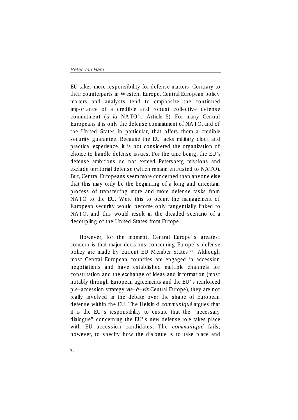EU takes more responsibility for defense matters. Contrary to their counterparts in Western Europe, Central European policy makers and analysts tend to emphasize the continued importance of a credible and robust collective defense commitment (*à la* NATO's Article 5). For many Central Europeans it is only the defense commitment of NATO, and of the United States in particular, that offers them a credible security guarantee. Because the EU lacks military clout and practical experience, it is not considered the organization of choice to handle defense issues. For the time being, the EU's defense ambitions do not exceed Petersberg missions and exclude territorial defense (which remain entrusted to NATO). But, Central Europeans seem more concerned than anyone else that this may only be the beginning of a long and uncertain process of transferring more and more defense tasks from NATO to the EU. Were this to occur, the management of European security would become only tangentially linked to NATO, and this would result in the dreaded scenario of a decoupling of the United States from Europe.

However, for the moment, Central Europe's greatest concern is that major decisions concerning Europe's defense policy are made by current EU Member States.<sup>27</sup> Although most Central European countries are engaged in accession negotiations and have established multiple channels for consultation and the exchange of ideas and information (most notably through European agreements and the EU's reinforced pre–accession strategy *vis–à–vis* Central Europe), they are not really involved in the debate over the shape of European defense within the EU. The Helsinki *communiqué* argues that it is the EU's responsibility to ensure that the "necessary dialogue" concerning the EU's new defense role takes place with EU accession candidates. The *communiqué* fails, however, to specify how the dialogue is to take place and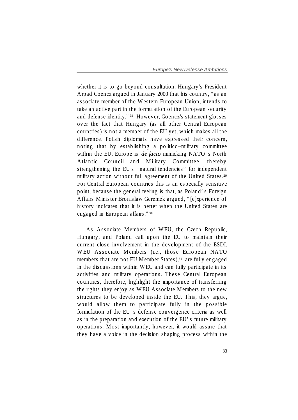whether it is to go beyond consultation. Hungary's President Arpad Goencz argued in January 2000 that his country, "as an associate member of the Western European Union, intends to take an active part in the formulation of the European security and defense identity."<sup>28</sup> However, Goencz's statement glosses over the fact that Hungary (as all other Central European countries) is not a member of the EU yet, which makes all the difference. Polish diplomats have expressed their concern, noting that by establishing a politico–military committee within the EU, Europe is *de facto* mimicking NATO's North Atlantic Council and Military Committee, thereby strengthening the EU's "natural tendencies" for independent military action without full agreement of the United States.<sup>29</sup> For Central European countries this is an especially sensitive point, because the general feeling is that, as Poland's Foreign Affairs Minister Bronislaw Geremek argued, "[e]xperience of history indicates that it is better when the United States are engaged in European affairs."<sup>30</sup>

As Associate Members of WEU, the Czech Republic, Hungary, and Poland call upon the EU to maintain their current close involvement in the development of the ESDI. WEU Associate Members (i.e., those European NATO members that are not EU Member States),<sup>31</sup> are fully engaged in the discussions within WEU and can fully participate in its activities and military operations. These Central European countries, therefore, highlight the importance of transferring the rights they enjoy as WEU Associate Members to the new structures to be developed inside the EU. This, they argue, would allow them to participate fully in the possible formulation of the EU's defense convergence criteria as well as in the preparation and execution of the EU's future military operations. Most importantly, however, it would assure that they have a voice in the decision shaping process within the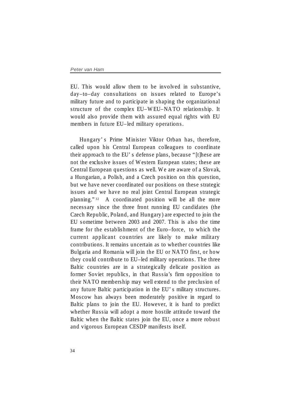EU. This would allow them to be involved in substantive, day–to–day consultations on issues related to Europe's military future and to participate in shaping the organizational structure of the complex EU–WEU–NATO relationship. It would also provide them with assured equal rights with EU members in future EU–led military operations.

Hungary's Prime Minister Viktor Orban has, therefore, called upon his Central European colleagues to coordinate their approach to the EU's defense plans, because "[t]hese are not the exclusive issues of Western European states; these are Central European questions as well. We are aware of a Slovak, a Hungarian, a Polish, and a Czech position on this question, but we have never coordinated our positions on these strategic issues and we have no real joint Central European strategic planning."<sup>32</sup> A coordinated position will be all the more necessary since the three front running EU candidates (the Czech Republic, Poland, and Hungary) are expected to join the EU sometime between 2003 and 2007. This is also the time frame for the establishment of the Euro–force, to which the current applicant countries are likely to make military contributions. It remains uncertain as to whether countries like Bulgaria and Romania will join the EU or NATO first, or how they could contribute to EU–led military operations. The three Baltic countries are in a strategically delicate position as former Soviet republics, in that Russia's firm opposition to their NATO membership may well extend to the preclusion of any future Baltic participation in the EU's military structures. Moscow has always been moderately positive in regard to Baltic plans to join the EU. However, it is hard to predict whether Russia will adopt a more hostile attitude toward the Baltic when the Baltic states join the EU, once a more robust and vigorous European CESDP manifests itself.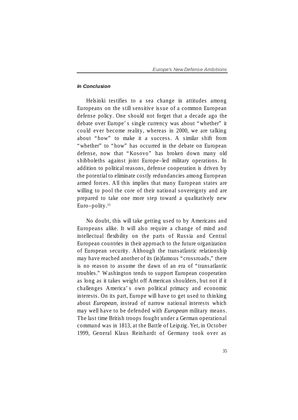### *In Conclusion*

Helsinki testifies to a sea change in attitudes among Europeans on the still sensitive issue of a common European defense policy. One should not forget that a decade ago the debate over Europe's single currency was about "whether" it could ever become reality, whereas in 2000, we are talking about "how" to make it a success. A similar shift from "whether" to "how" has occurred in the debate on European defense, now that "Kosovo" has broken down many old shibboleths against joint Europe–led military operations. In addition to political reasons, defense cooperation is driven by the potential to eliminate costly redundancies among European armed forces. All this implies that many European states are willing to pool the core of their national sovereignty and are prepared to take one more step toward a qualitatively new Euro–polity.<sup>33</sup>

No doubt, this will take getting used to by Americans and Europeans alike. It will also require a change of mind and intellectual flexibility on the parts of Russia and Central European countries in their approach to the future organization of European security. Although the transatlantic relationship may have reached another of its (in)famous "crossroads," there is no reason to assume the dawn of an era of "transatlantic troubles." Washington tends to support European cooperation as long as it takes weight off American shoulders, but not if it challenges America's own political primacy and economic interests. On its part, Europe will have to get used to thinking about *European*, instead of narrow national interests which may well have to be defended with *European* military means. The last time British troops fought under a German operational command was in 1813, at the Battle of Leipzig. Yet, in October 1999, General Klaus Reinhardt of Germany took over as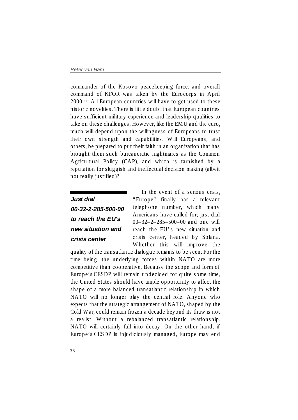commander of the Kosovo peacekeeping force, and overall command of KFOR was taken by the Eurocorps in April 2000.<sup>34</sup> All European countries will have to get used to these historic novelties. There is little doubt that European countries have sufficient military experience and leadership qualities to take on these challenges. However, like the EMU and the euro, much will depend upon the willingness of Europeans to trust their own strength and capabilities. Will Europeans, and others, be prepared to put their faith in an organization that has brought them such bureaucratic nightmares as the Common Agricultural Policy (CAP), and which is tarnished by a reputation for sluggish and ineffectual decision making (albeit not really justified)?

## *Just dial*

*00-32-2-285-500-00 to reach the EU's new situation and crisis center*

In the event of a serious crisis, "Europe" finally has a relevant telephone number, which many Americans have called for; just dial 00–32–2–285–500–00 and one will reach the EU's new situation and crisis center, headed by Solana. Whether this will improve the

quality of the transatlantic dialogue remains to be seen. For the time being, the underlying forces within NATO are more competitive than cooperative. Because the scope and form of Europe's CESDP will remain undecided for quite some time, the United States should have ample opportunity to affect the shape of a more balanced transatlantic relationship in which NATO will no longer play the central role. Anyone who expects that the strategic arrangement of NATO, shaped by the Cold War, could remain frozen a decade beyond its thaw is not a realist. Without a rebalanced transatlantic relationship, NATO will certainly fall into decay. On the other hand, if Europe's CESDP is injudiciously managed, Europe may end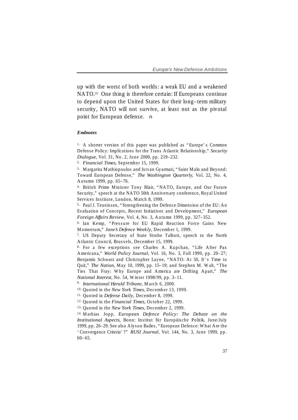up with the worst of both worlds: a weak EU and a weakened NATO.<sup>35</sup> One thing is therefore certain: If Europeans continue to depend upon the United States for their long–term military security, NATO will not survive, at least not as the pivotal point for European defense. n

### *Endnotes*

1. A shorter version of this paper was published as "Europe's Common Defense Policy: Implications for the Trans Atlantic Relationship," *Security Dialogue*, Vol. 31, No. 2, June 2000, pp. 219–232.

2. *Financial Times*, September 15, 1999.

3. Margarita Mathiopoulos and Istvan Gyarmati, "Saint Malo and Beyond: Toward European Defense," *The Washington Quarterly*, Vol. 22, No. 4, Autumn 1999, pp. 65–76.

4. British Prime Minister Tony Blair, "NATO, Europe, and Our Future Security," speech at the NATO 50th Anniversary conference, Royal United Services Institute, London, March 8, 1999.

5. Paul J. Teunissen, "Strengthening the Defence Dimension of the EU: An Evaluation of Concepts, Recent Initiatives and Development," *European Foreign Affairs Review*, Vol. 4, No. 3, Autumn 1999, pp. 327–352.

6. Ian Kemp, "Pressure for EU Rapid Reaction Force Gains New Momentum," *Jane's Defence Weekly*, December 1, 1999.

7. US Deputy Secretary of State Strobe Talbott, speech to the North Atlantic Council, Brussels, December 15, 1999.

8. For a few exceptions see Charles A. Kupchan, "Life After Pax Americana," *World Policy Journal*, Vol. 16, No. 3, Fall 1999, pp. 20–27; Benjamin Schwarz and Christopher Layne, "NATO: At 50, It's Time to Quit," *The Nation*, May 10, 1999, pp. 15–19; and Stephen M. Walt, "The Ties That Fray: Why Europe and America are Drifting Apart," *The National Interest*, No. 54, Winter 1998/99, pp. 3–11.

9. *International Herald Tribune*, March 6, 2000.

10. Quoted in the *New York Times*, December 13, 1999.

11. Quoted in *Defense Daily*, December 8, 1999.

12. Quoted in the *Financial Times*, October 22, 1999.

13. Quoted in the *New York Times*, December 2, 1999.

14. Mathias Jopp, *European Defence Policy: The Debate on the Institutional Aspects*, Bonn: Institut für Europäische Politik, June/July 1999, pp. 26–29. See also Alyson Bailes, "European Defence: What Are the 'Convergence Criteria'?" *RUSI Journal*, Vol. 144, No. 3, June 1999, pp. 60–65.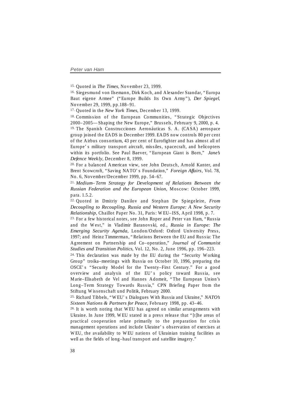15. Quoted in *The Times*, November 23, 1999.

16. Siegesmund von Ilsemann, Dirk Koch, and Alexander Szandar, "Europa Baut eigene Armee" ("Europe Builds Its Own Army"), *Der Spiegel*, November 29, 1999, pp.188–91.

17. Quoted in the *New York Times*, December 13, 1999.

18. Commission of the European Communities, "Strategic Objectives 2000–2005— Shaping the New Europe," Brussels, February 9, 2000, p. 4. 19. The Spanish Construcciones Aeronáuticas S. A. (CASA) aerospace group joined the EADS in December 1999. EADS now controls 80 per cent of the Airbus consortium, 43 per cent of Eurofighter and has almost all of Europe's military transport aircraft, missiles, spacecraft, and helicopters within its portfolio. See Paul Baever, "European Giant is Born," *Jane's Defence Weekly*, December 8, 1999.

20. For a balanced American view, see John Deutsch, Arnold Kanter, and Brent Scowcroft, "Saving NATO's Foundation," *Foreign Affairs*, Vol. 78, No. 6, November/December 1999, pp. 54–67.

21. *Medium–Term Strategy for Development of Relations Between the Russian Federation and the European Union*, Moscow: October 1999, para. 1.5.2.

22. Quoted in Dmitriy Danilov and Stephan De Spiegeleire, *From Decoupling to Recoupling. Russia and Western Europe: A New Security Relationship*, Chaillot Paper No. 31, Paris: WEU–ISS, April 1998, p. 7.

23. For a few historical notes, see John Roper and Peter van Ham, "Russia and the West," in Vladimir Baranovski, ed., *Russia in Europe: The Emerging Security Agenda*, London/Oxford: Oxford University Press, 1997; and Heinz Timmerman, "Relations Between the EU and Russia: The Agreement on Partnership and Co–operation," *Journal of Communist Studies and Transition Politics*, Vol. 12, No. 2, June 1996, pp. 196–223.

24. This declaration was made by the EU during the "Security Working Group" troika–meetings with Russia on October 10, 1996, preparing the OSCE's "Security Model for the Twenty–First Century." For a good overview and analysis of the EU's policy toward Russia, see Marie–Elisabeth de Vel and Hannes Adomeit, "The European Union's Long–Term Strategy Towards Russia," CPN Briefing Paper from the Stiftung Wissenschaft und Politik, February 2000.

25. Richard Tibbels, "WEU's Dialogues With Russia and Ukraine," *NATO's Sixteen Nations & Partners for Peace*, February 1998, pp. 43–46.

26. It is worth noting that WEU has agreed on similar arrangements with Ukraine. In June 1999, WEU stated in a press release that "[t]he areas of practical cooperation relate primarily to the preparation for crisis management operations and include Ukraine's observation of exercises at WEU, the availability to WEU nations of Ukrainian training facilities as well as the fields of long–haul transport and satellite imagery."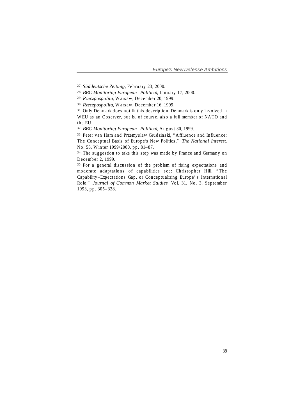34. The suggestion to take this step was made by France and Germany on December 2, 1999.

35. For a general discussion of the problem of rising expectations and moderate adaptations of capabilities see: Christopher Hill, "The Capability–Expectations Gap, or Conceptualizing Europe's International Role," *Journal of Common Market Studies*, Vol. 31, No. 3, September 1993, pp. 305–328.

<sup>27.</sup> *Süddeutsche Zeitung*, February 23, 2000.

<sup>28.</sup> *BBC Monitoring European–Political*, January 17, 2000.

<sup>29.</sup> *Rzeczpospolita*, Warsaw, December 20, 1999.

<sup>30.</sup> *Rzeczpospolita*, Warsaw, December 16, 1999.

<sup>31.</sup> Only Denmark does not fit this description. Denmark is only involved in WEU as an Observer, but is, of course, also a full member of NATO and the EU.

<sup>32.</sup> *BBC Monitoring European–Political*, August 30, 1999.

<sup>33.</sup> Peter van Ham and Przemyslaw Grudzinski, "Affluence and Influence: The Conceptual Basis of Europe's New Politics," *The National Interest*, No. 58, Winter 1999/2000, pp. 81–87.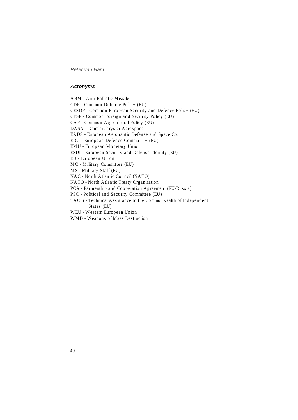### *Acronyms*

ABM - Anti-Ballistic Missile CDP - Common Defence Policy (EU) CESDP - Common European Security and Defence Policy (EU) CFSP - Common Foreign and Security Policy (EU) CAP - Common Agricultural Policy (EU) DASA - DaimlerChrysler Aerospace EADS - European Aeronautic Defense and Space Co. EDC - European Defence Community (EU) EMU - European Monetary Union ESDI - European Security and Defense Identity (EU) EU - European Union MC - Military Committee (EU) MS - Military Staff (EU) NAC - North Atlantic Council (NATO) NATO - North Atlantic Treaty Organization PCA - Partnership and Cooperation Agreement (EU-Russia) PSC - Political and Security Committee (EU) TACIS - Technical Assistance to the Commonwealth of Independent States (EU) WEU - Western European Union WMD - Weapons of Mass Destruction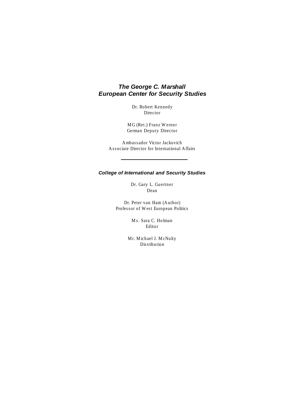# *The George C. Marshall European Center for Security Studies*

Dr. Robert Kennedy Director

MG (Ret.) Franz Werner German Deputy Director

Ambassador Victor Jackovich Associate Director for International Affairs

### *College of International and Security Studies*

Dr. Gary L. Guertner Dean

Dr. Peter van Ham (Author) Professor of West European Politics

> Ms. Sara C. Holman Editor

Mr. Michael J. McNulty Distribution